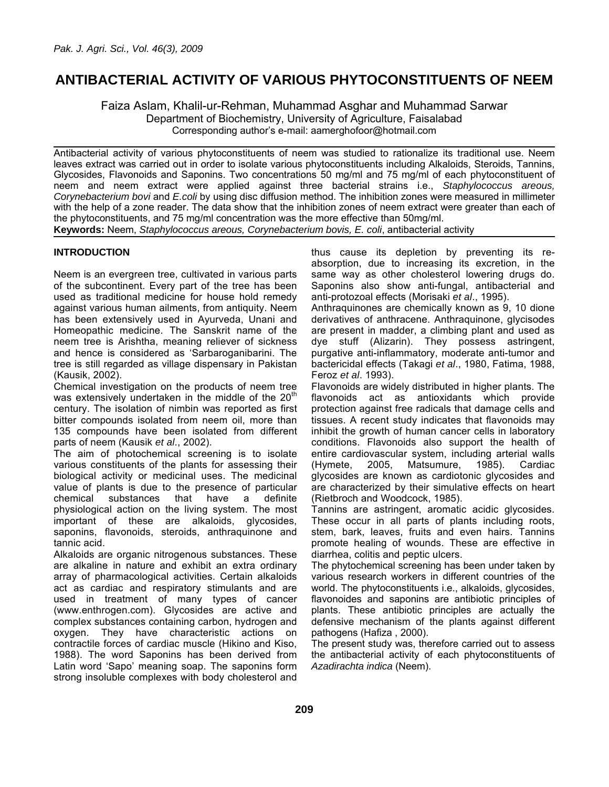# **ANTIBACTERIAL ACTIVITY OF VARIOUS PHYTOCONSTITUENTS OF NEEM**

Faiza Aslam, Khalil-ur-Rehman, Muhammad Asghar and Muhammad Sarwar Department of Biochemistry, University of Agriculture, Faisalabad Corresponding author's e-mail: aamerghofoor@hotmail.com

Antibacterial activity of various phytoconstituents of neem was studied to rationalize its traditional use. Neem leaves extract was carried out in order to isolate various phytoconstituents including Alkaloids, Steroids, Tannins, Glycosides, Flavonoids and Saponins. Two concentrations 50 mg/ml and 75 mg/ml of each phytoconstituent of neem and neem extract were applied against three bacterial strains i.e., *Staphylococcus areous, Corynebacterium bovi* and *E.coli* by using disc diffusion method. The inhibition zones were measured in millimeter with the help of a zone reader. The data show that the inhibition zones of neem extract were greater than each of the phytoconstituents, and 75 mg/ml concentration was the more effective than 50mg/ml. **Keywords:** Neem, *Staphylococcus areous, Corynebacterium bovis, E. coli*, antibacterial activity

## **INTRODUCTION**

Neem is an evergreen tree, cultivated in various parts of the subcontinent. Every part of the tree has been used as traditional medicine for house hold remedy against various human ailments, from antiquity. Neem has been extensively used in Ayurveda, Unani and Homeopathic medicine. The Sanskrit name of the neem tree is Arishtha, meaning reliever of sickness and hence is considered as 'Sarbaroganibarini. The tree is still regarded as village dispensary in Pakistan (Kausik, 2002).

Chemical investigation on the products of neem tree was extensively undertaken in the middle of the  $20<sup>th</sup>$ century. The isolation of nimbin was reported as first bitter compounds isolated from neem oil, more than 135 compounds have been isolated from different parts of neem (Kausik *et al*., 2002).

The aim of photochemical screening is to isolate various constituents of the plants for assessing their biological activity or medicinal uses. The medicinal value of plants is due to the presence of particular chemical substances that have a definite physiological action on the living system. The most important of these are alkaloids, glycosides, saponins, flavonoids, steroids, anthraquinone and tannic acid.

Alkaloids are organic nitrogenous substances. These are alkaline in nature and exhibit an extra ordinary array of pharmacological activities. Certain alkaloids act as cardiac and respiratory stimulants and are used in treatment of many types of cancer (www.enthrogen.com). Glycosides are active and complex substances containing carbon, hydrogen and oxygen. They have characteristic actions on contractile forces of cardiac muscle (Hikino and Kiso, 1988). The word Saponins has been derived from Latin word 'Sapo' meaning soap. The saponins form strong insoluble complexes with body cholesterol and

thus cause its depletion by preventing its reabsorption, due to increasing its excretion, in the same way as other cholesterol lowering drugs do. Saponins also show anti-fungal, antibacterial and anti-protozoal effects (Morisaki *et al*., 1995).

Anthraquinones are chemically known as 9, 10 dione derivatives of anthracene. Anthraquinone, glycisodes are present in madder, a climbing plant and used as dye stuff (Alizarin). They possess astringent, purgative anti-inflammatory, moderate anti-tumor and bactericidal effects (Takagi *et al*., 1980, Fatima, 1988, Feroz *et al*. 1993).

Flavonoids are widely distributed in higher plants. The flavonoids act as antioxidants which provide protection against free radicals that damage cells and tissues. A recent study indicates that flavonoids may inhibit the growth of human cancer cells in laboratory conditions. Flavonoids also support the health of entire cardiovascular system, including arterial walls (Hymete, 2005, Matsumure, 1985). Cardiac glycosides are known as cardiotonic glycosides and are characterized by their simulative effects on heart (Rietbroch and Woodcock, 1985).

Tannins are astringent, aromatic acidic glycosides. These occur in all parts of plants including roots, stem, bark, leaves, fruits and even hairs. Tannins promote healing of wounds. These are effective in diarrhea, colitis and peptic ulcers.

The phytochemical screening has been under taken by various research workers in different countries of the world. The phytoconstituents i.e., alkaloids, glycosides, flavonoides and saponins are antibiotic principles of plants. These antibiotic principles are actually the defensive mechanism of the plants against different pathogens (Hafiza , 2000).

The present study was, therefore carried out to assess the antibacterial activity of each phytoconstituents of *Azadirachta indica* (Neem).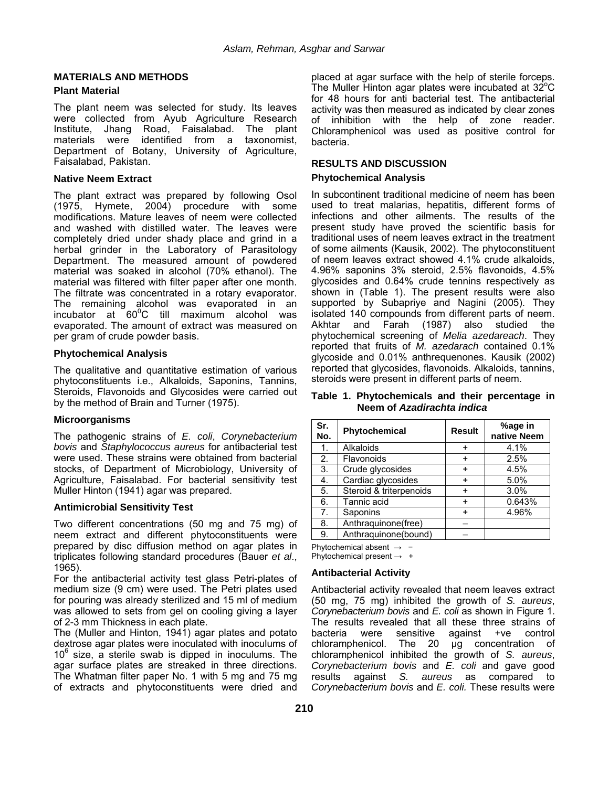# **MATERIALS AND METHODS**

#### **Plant Material**

The plant neem was selected for study. Its leaves were collected from Ayub Agriculture Research Institute, Jhang Road, Faisalabad. The plant materials were identified from a taxonomist, Department of Botany, University of Agriculture, Faisalabad, Pakistan.

#### **Native Neem Extract**

The plant extract was prepared by following Osol (1975, Hymete, 2004) procedure with some modifications. Mature leaves of neem were collected and washed with distilled water. The leaves were completely dried under shady place and grind in a herbal grinder in the Laboratory of Parasitology Department. The measured amount of powdered material was soaked in alcohol (70% ethanol). The material was filtered with filter paper after one month. The filtrate was concentrated in a rotary evaporator. The remaining alcohol was evaporated in an incubator at  $60^{\circ}$ C till maximum alcohol was evaporated. The amount of extract was measured on per gram of crude powder basis.

#### **Phytochemical Analysis**

The qualitative and quantitative estimation of various phytoconstituents i.e., Alkaloids, Saponins, Tannins, Steroids, Flavonoids and Glycosides were carried out by the method of Brain and Turner (1975).

## **Microorganisms**

The pathogenic strains of *E. coli*, *Corynebacterium bovis* and *Staphylococcus aureus* for antibacterial test were used. These strains were obtained from bacterial stocks, of Department of Microbiology, University of Agriculture, Faisalabad. For bacterial sensitivity test Muller Hinton (1941) agar was prepared.

## **Antimicrobial Sensitivity Test**

Two different concentrations (50 mg and 75 mg) of neem extract and different phytoconstituents were prepared by disc diffusion method on agar plates in triplicates following standard procedures (Bauer *et al*., 1965).

For the antibacterial activity test glass Petri-plates of medium size (9 cm) were used. The Petri plates used for pouring was already sterilized and 15 ml of medium was allowed to sets from gel on cooling giving a layer of 2-3 mm Thickness in each plate.

The (Muller and Hinton, 1941) agar plates and potato dextrose agar plates were inoculated with inoculums of  $10^6$  size, a sterile swab is dipped in inoculums. The agar surface plates are streaked in three directions. The Whatman filter paper No. 1 with 5 mg and 75 mg of extracts and phytoconstituents were dried and

placed at agar surface with the help of sterile forceps. The Muller Hinton agar plates were incubated at 32 $^{\circ}$ C for 48 hours for anti bacterial test. The antibacterial activity was then measured as indicated by clear zones of inhibition with the help of zone reader. Chloramphenicol was used as positive control for bacteria.

# **RESULTS AND DISCUSSION**

#### **Phytochemical Analysis**

In subcontinent traditional medicine of neem has been used to treat malarias, hepatitis, different forms of infections and other ailments. The results of the present study have proved the scientific basis for traditional uses of neem leaves extract in the treatment of some ailments (Kausik, 2002). The phytoconstituent of neem leaves extract showed 4.1% crude alkaloids, 4.96% saponins 3% steroid, 2.5% flavonoids, 4.5% glycosides and 0.64% crude tennins respectively as shown in (Table 1). The present results were also supported by Subapriye and Nagini (2005). They isolated 140 compounds from different parts of neem. Akhtar and Farah (1987) also studied the phytochemical screening of *Melia azedareach*. They reported that fruits of *M. azedarach* contained 0.1% glycoside and 0.01% anthrequenones. Kausik (2002) reported that glycosides, flavonoids. Alkaloids, tannins, steroids were present in different parts of neem.

**Table 1. Phytochemicals and their percentage in Neem of** *Azadirachta indica* 

| Sr.<br>No. | Phytochemical           | <b>Result</b> | %age in<br>native Neem |
|------------|-------------------------|---------------|------------------------|
| 1.         | Alkaloids               | ÷             | 4.1%                   |
| 2.         | Flavonoids              |               | 2.5%                   |
| 3.         | Crude glycosides        | ÷             | 4.5%                   |
| 4.         | Cardiac glycosides      | +             | 5.0%                   |
| 5.         | Steroid & triterpenoids |               | 3.0%                   |
| 6.         | Tannic acid             | ÷.            | 0.643%                 |
| 7.         | Saponins                | +             | 4.96%                  |
| 8.         | Anthraguinone(free)     |               |                        |
| 9.         | Anthraquinone(bound)    |               |                        |

Phytochemical absent → −

Phytochemical present  $\rightarrow$  +

## **Antibacterial Activity**

Antibacterial activity revealed that neem leaves extract (50 mg, 75 mg) inhibited the growth of *S. aureus*, *Corynebacterium bovis* and *E. coli* as shown in Figure 1. The results revealed that all these three strains of bacteria were sensitive against +ve control sensitive against +ve control chloramphenicol. The 20 µg concentration of chloramphenicol inhibited the growth of *S. aureus*, *Corynebacterium bovis* and *E. coli* and gave good results against *S. aureus* as compared to *Corynebacterium bovis* and *E. coli.* These results were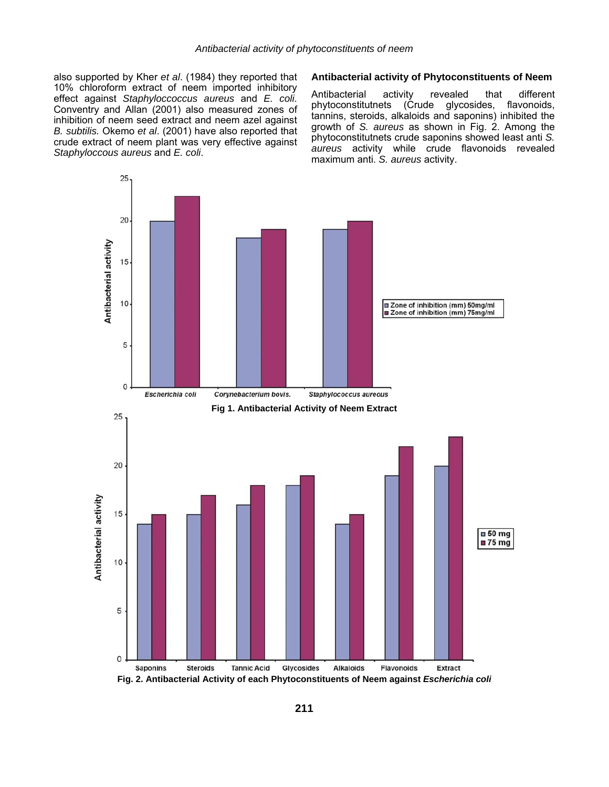also supported by Kher *et al*. (1984) they reported that 10% chloroform extract of neem imported inhibitory effect against *Staphyloccoccus aureus* and *E. coli*. Conventry and Allan (2001) also measured zones of inhibition of neem seed extract and neem azel against *B. subtilis.* Okemo *et al*. (2001) have also reported that crude extract of neem plant was very effective against *Staphyloccous aureus* and *E. coli*.

#### **Antibacterial activity of Phytoconstituents of Neem**

Antibacterial activity revealed that different phytoconstitutnets (Crude glycosides, flavonoids, tannins, steroids, alkaloids and saponins) inhibited the growth of *S. aureus* as shown in Fig. 2. Among the phytoconstitutnets crude saponins showed least anti *S. aureus* activity while crude flavonoids revealed maximum anti. *S. aureus* activity.



**Fig. 2. Antibacterial Activity of each Phytoconstituents of Neem against** *Escherichia coli*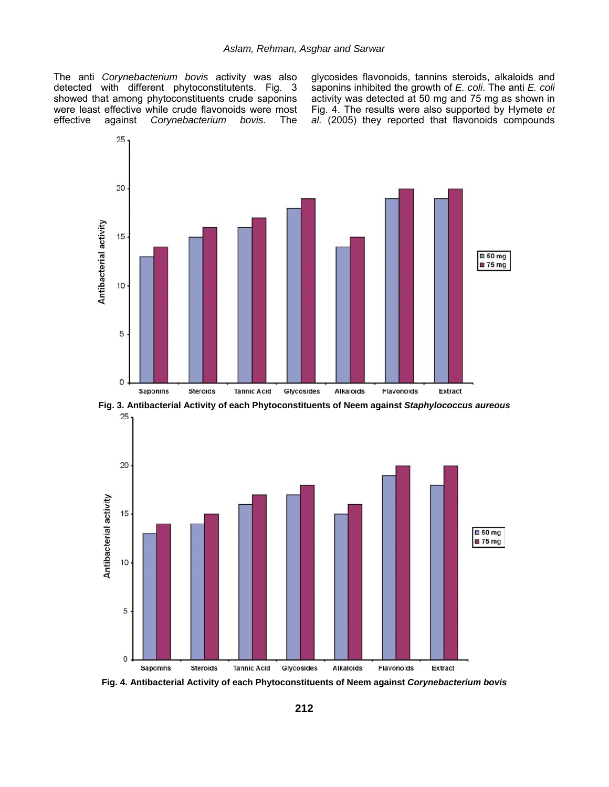The anti *Corynebacterium bovis* activity was also detected with different phytoconstitutents. Fig. 3 showed that among phytoconstituents crude saponins were least effective while crude flavonoids were most effective against *Corynebacterium bovis*. The glycosides flavonoids, tannins steroids, alkaloids and saponins inhibited the growth of *E. coli*. The anti *E. coli* activity was detected at 50 mg and 75 mg as shown in Fig. 4. The results were also supported by Hymete *et al.* (2005) they reported that flavonoids compounds







**Fig. 4. Antibacterial Activity of each Phytoconstituents of Neem against** *Corynebacterium bovis*